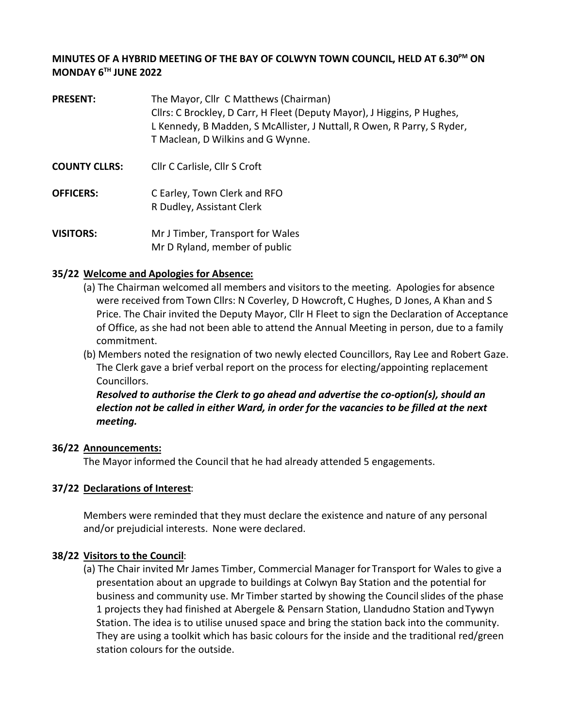### **MINUTES OF A HYBRID MEETING OF THE BAY OF COLWYN TOWN COUNCIL, HELD AT 6.30PM ON MONDAY 6TH JUNE 2022**

- **PRESENT:** The Mayor, Cllr C Matthews (Chairman) Cllrs: C Brockley, D Carr, H Fleet (Deputy Mayor), J Higgins, P Hughes, L Kennedy, B Madden, S McAllister, J Nuttall, R Owen, R Parry, S Ryder, T Maclean, D Wilkins and G Wynne.
- **COUNTY CLLRS:** Cllr C Carlisle, Cllr S Croft
- **OFFICERS:** C Earley, Town Clerk and RFO R Dudley, Assistant Clerk
- **VISITORS:** Mr J Timber, Transport for Wales Mr D Ryland, member of public

### **35/22 Welcome and Apologies for Absence:**

- (a) The Chairman welcomed all members and visitors to the meeting. Apologies for absence were received from Town Cllrs: N Coverley, D Howcroft, C Hughes, D Jones, A Khan and S Price. The Chair invited the Deputy Mayor, Cllr H Fleet to sign the Declaration of Acceptance of Office, as she had not been able to attend the Annual Meeting in person, due to a family commitment.
- (b) Members noted the resignation of two newly elected Councillors, Ray Lee and Robert Gaze. The Clerk gave a brief verbal report on the process for electing/appointing replacement Councillors.

*Resolved to authorise the Clerk to go ahead and advertise the co-option(s), should an election not be called in either Ward, in order for the vacancies to be filled at the next meeting.*

#### **36/22 Announcements:**

The Mayor informed the Council that he had already attended 5 engagements.

### **37/22 Declarations of Interest**:

Members were reminded that they must declare the existence and nature of any personal and/or prejudicial interests. None were declared.

### **38/22 Visitors to the Council**:

(a) The Chair invited Mr James Timber, Commercial Manager for Transport for Wales to give a presentation about an upgrade to buildings at Colwyn Bay Station and the potential for business and community use. Mr Timber started by showing the Council slides of the phase 1 projects they had finished at Abergele & Pensarn Station, Llandudno Station and Tywyn Station. The idea is to utilise unused space and bring the station back into the community. They are using a toolkit which has basic colours for the inside and the traditional red/green station colours for the outside.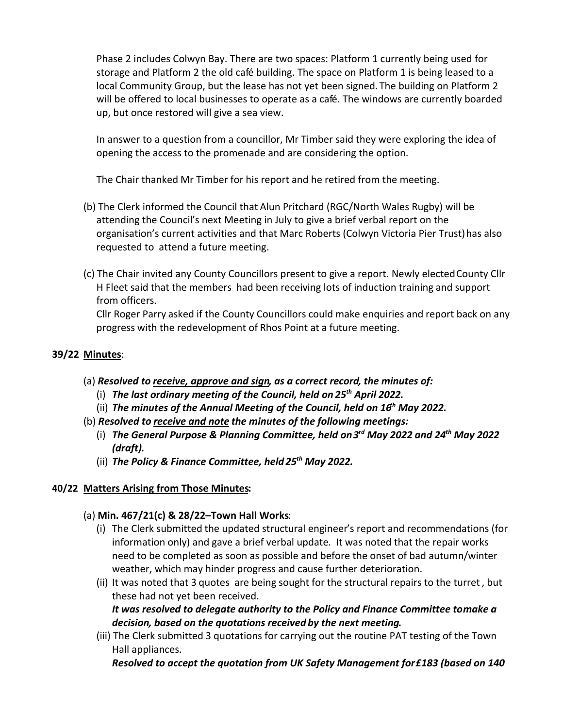Phase 2 includes Colwyn Bay. There are two spaces: Platform 1 currently being used for storage and Platform 2 the old café building. The space on Platform 1 is being leased to a local Community Group, but the lease has not yet been signed. The building on Platform 2 will be offered to local businesses to operate as a café. The windows are currently boarded up, but once restored will give a sea view.

In answer to a question from a councillor, Mr Timber said they were exploring the idea of opening the access to the promenade and are considering the option.

The Chair thanked Mr Timber for his report and he retired from the meeting.

- (b) The Clerk informed the Council that Alun Pritchard (RGC/North Wales Rugby) will be attending the Council's next Meeting in July to give a brief verbal report on the organisation's current activities and that Marc Roberts (Colwyn Victoria Pier Trust) has also requested to attend a future meeting.
- (c) The Chair invited any County Councillors present to give a report. Newly electedCounty Cllr H Fleet said that the members had been receiving lots of induction training and support from officers.

Cllr Roger Parry asked if the County Councillors could make enquiries and report back on any progress with the redevelopment of Rhos Point at a future meeting.

## **39/22 Minutes**:

- (a) *Resolved to receive, approve and sign, as a correct record, the minutes of:*
	- (i) The last ordinary meeting of the Council, held on 25<sup>th</sup> April 2022.
	- (ii) The minutes of the Annual Meeting of the Council, held on 16<sup>th</sup> May 2022.
- (b) *Resolved to receive and note the minutes of the following meetings:*
	- *The General Purpose & Planning Committee, held on 3rd May 2022 and 24th* (i) *May 2022 (draft).*
	- *The Policy & Finance Committee, held 25th* (ii) *May 2022.*

### **40/22 Matters Arising from Those Minutes:**

## (a) **Min. 467/21(c) & 28/22–Town Hall Works**:

- (i) The Clerk submitted the updated structural engineer's report and recommendations (for information only) and gave a brief verbal update. It was noted that the repair works need to be completed as soon as possible and before the onset of bad autumn/winter weather, which may hinder progress and cause further deterioration.
- (ii) It was noted that 3 quotes are being sought for the structural repairs to the turret, but these had not yet been received.

*It was resolved to delegate authority to the Policy and Finance Committee to make a decision, based on the quotations received by the next meeting.*

(iii) The Clerk submitted 3 quotations for carrying out the routine PAT testing of the Town Hall appliances.

*Resolved to accept the quotation from UK Safety Management for £183 (based on 140*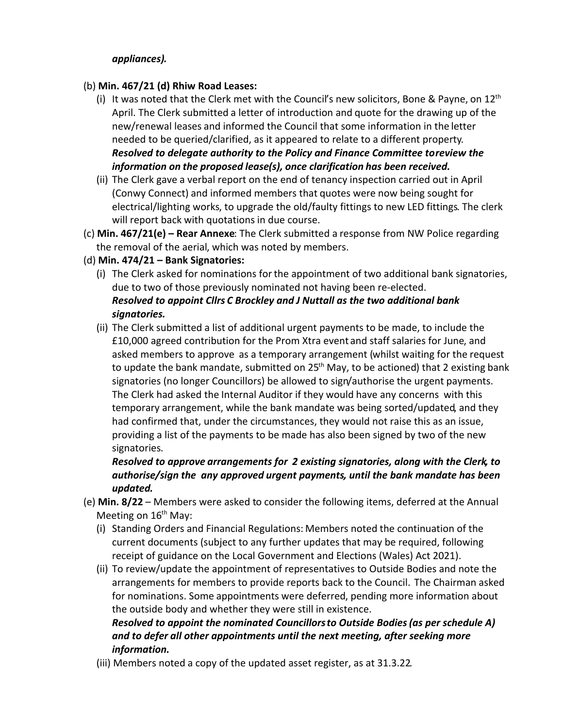### *appliances).*

### (b) **Min. 467/21 (d) Rhiw Road Leases:**

- (i) It was noted that the Clerk met with the Council's new solicitors, Bone & Payne, on  $12<sup>th</sup>$ April. The Clerk submitted a letter of introduction and quote for the drawing up of the new/renewal leases and informed the Council that some information in the letter needed to be queried/clarified, as it appeared to relate to a different property. *Resolved to delegate authority to the Policy and Finance Committee to review the information on the proposed lease(s), once clarification has been received.*
- (ii) The Clerk gave a verbal report on the end of tenancy inspection carried out in April (Conwy Connect) and informed members that quotes were now being sought for electrical/lighting works, to upgrade the old/faulty fittings to new LED fittings. The clerk will report back with quotations in due course.
- (c) **Min. 467/21(e) – Rear Annexe**: The Clerk submitted a response from NW Police regarding the removal of the aerial, which was noted by members.
- (d) **Min. 474/21 – Bank Signatories:** 
	- (i) The Clerk asked for nominations forthe appointment of two additional bank signatories, due to two of those previously nominated not having been re-elected. *Resolved to appoint Cllrs C Brockley and J Nuttall as the two additional bank signatories.*
	- (ii) The Clerk submitted a list of additional urgent payments to be made, to include the £10,000 agreed contribution for the Prom Xtra event and staff salaries for June, and asked members to approve as a temporary arrangement (whilst waiting for the request to update the bank mandate, submitted on  $25<sup>th</sup>$  May, to be actioned) that 2 existing bank signatories (no longer Councillors) be allowed to sign/authorise the urgent payments. The Clerk had asked the Internal Auditor if they would have any concerns with this temporary arrangement, while the bank mandate was being sorted/updated, and they had confirmed that, under the circumstances, they would not raise this as an issue, providing a list of the payments to be made has also been signed by two of the new signatories.

*Resolved to approve arrangements for 2 existing signatories, along with the Clerk, to authorise/sign the any approved urgent payments, until the bank mandate has been updated.* 

- (e) **Min. 8/22**  Members were asked to consider the following items, deferred at the Annual Meeting on  $16<sup>th</sup>$  May:
	- (i) Standing Orders and Financial Regulations: Members noted the continuation of the current documents (subject to any further updates that may be required, following receipt of guidance on the Local Government and Elections (Wales) Act 2021).
	- (ii) To review/update the appointment of representatives to Outside Bodies and note the arrangements for members to provide reports back to the Council. The Chairman asked for nominations. Some appointments were deferred, pending more information about the outside body and whether they were still in existence. *Resolved to appoint the nominated Councillors to Outside Bodies (as per schedule A)*

# *and to defer all other appointments until the next meeting, after seeking more information.*

(iii) Members noted a copy of the updated asset register, as at 31.3.22.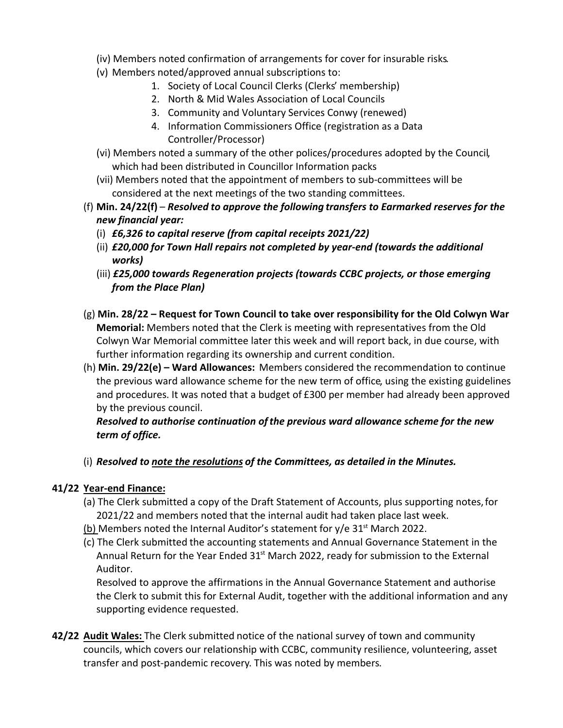- (iv) Members noted confirmation of arrangements for cover for insurable risks.
- (v) Members noted/approved annual subscriptions to:
	- 1. Society of Local Council Clerks (Clerks' membership)
	- 2. North & Mid Wales Association of Local Councils
	- 3. Community and Voluntary Services Conwy (renewed)
	- 4. Information Commissioners Office (registration as a Data Controller/Processor)
- (vi) Members noted a summary of the other polices/procedures adopted by the Council, which had been distributed in Councillor Information packs
- (vii) Members noted that the appointment of members to sub-committees will be considered at the next meetings of the two standing committees.
- (f) **Min. 24/22(f)** *Resolved to approve the following transfers to Earmarked reserves for the new financial year:*
	- (i) *£6,326 to capital reserve (from capital receipts 2021/22)*
	- (ii) *£20,000 for Town Hall repairs not completed by year-end (towards the additional works)*
	- (iii) *£25,000 towards Regeneration projects (towards CCBC projects, or those emerging from the Place Plan)*
- (g) **Min. 28/22 – Request for Town Council to take over responsibility for the Old Colwyn War Memorial:** Members noted that the Clerk is meeting with representatives from the Old Colwyn War Memorial committee later this week and will report back, in due course, with further information regarding its ownership and current condition.
- (h) **Min. 29/22(e) – Ward Allowances:** Members considered the recommendation to continue the previous ward allowance scheme for the new term of office, using the existing guidelines and procedures. It was noted that a budget of £300 per member had already been approved by the previous council.

*Resolved to authorise continuation of the previous ward allowance scheme for the new term of office.*

(i) *Resolved to note the resolutions of the Committees, as detailed in the Minutes.*

# **41/22 Year-end Finance:**

- (a) The Clerk submitted a copy of the Draft Statement of Accounts, plus supporting notes,for 2021/22 and members noted that the internal audit had taken place last week.
- (b) Members noted the Internal Auditor's statement for  $y/e$  31<sup>st</sup> March 2022.
- (c) The Clerk submitted the accounting statements and Annual Governance Statement in the Annual Return for the Year Ended  $31<sup>st</sup>$  March 2022, ready for submission to the External Auditor.

Resolved to approve the affirmations in the Annual Governance Statement and authorise the Clerk to submit this for External Audit, together with the additional information and any supporting evidence requested.

**42/22 Audit Wales:** The Clerk submitted notice of the national survey of town and community councils, which covers our relationship with CCBC, community resilience, volunteering, asset transfer and post-pandemic recovery. This was noted by members.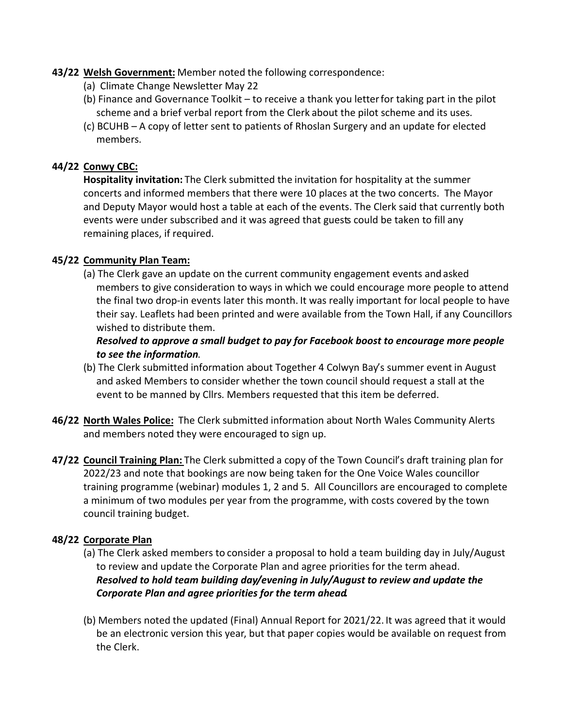### **43/22 Welsh Government:** Member noted the following correspondence:

- (a) Climate Change Newsletter May 22
- (b) Finance and Governance Toolkit to receive a thank you letterfor taking part in the pilot scheme and a brief verbal report from the Clerk about the pilot scheme and its uses.
- (c) BCUHB A copy of letter sent to patients of Rhoslan Surgery and an update for elected members.

### **44/22 Conwy CBC:**

**Hospitality invitation:** The Clerk submitted the invitation for hospitality at the summer concerts and informed members that there were 10 places at the two concerts. The Mayor and Deputy Mayor would host a table at each of the events. The Clerk said that currently both events were under subscribed and it was agreed that guests could be taken to fill any remaining places, if required.

### **45/22 Community Plan Team:**

(a) The Clerk gave an update on the current community engagement events and asked members to give consideration to ways in which we could encourage more people to attend the final two drop-in events later this month. It was really important for local people to have their say. Leaflets had been printed and were available from the Town Hall, if any Councillors wished to distribute them.

### *Resolved to approve a small budget to pay for Facebook boost to encourage more people to see the information*.

- (b) The Clerk submitted information about Together 4 Colwyn Bay's summer event in August and asked Members to consider whether the town council should request a stall at the event to be manned by Cllrs. Members requested that this item be deferred.
- **46/22 North Wales Police:** The Clerk submitted information about North Wales Community Alerts and members noted they were encouraged to sign up.
- **47/22 Council Training Plan:** The Clerk submitted a copy of the Town Council's draft training plan for 2022/23 and note that bookings are now being taken for the One Voice Wales councillor training programme (webinar) modules 1, 2 and 5. All Councillors are encouraged to complete a minimum of two modules per year from the programme, with costs covered by the town council training budget.

### **48/22 Corporate Plan**

- (a) The Clerk asked members to consider a proposal to hold a team building day in July/August to review and update the Corporate Plan and agree priorities for the term ahead. *Resolved to hold team building day/evening in July/August to review and update the Corporate Plan and agree priorities for the term ahead.*
- (b) Members noted the updated (Final) Annual Report for 2021/22. It was agreed that it would be an electronic version this year, but that paper copies would be available on request from the Clerk.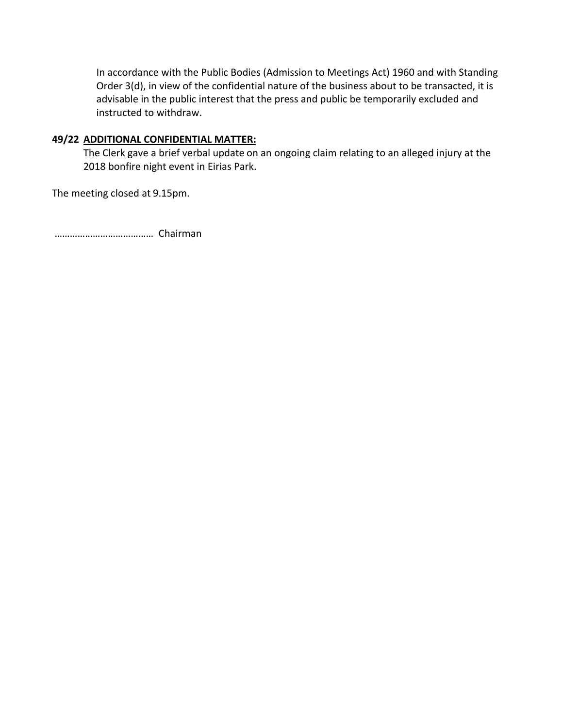In accordance with the Public Bodies (Admission to Meetings Act) 1960 and with Standing Order 3(d), in view of the confidential nature of the business about to be transacted, it is advisable in the public interest that the press and public be temporarily excluded and instructed to withdraw.

### **49/22 ADDITIONAL CONFIDENTIAL MATTER:**

The Clerk gave a brief verbal update on an ongoing claim relating to an alleged injury at the 2018 bonfire night event in Eirias Park.

The meeting closed at 9.15pm.

………………………………… Chairman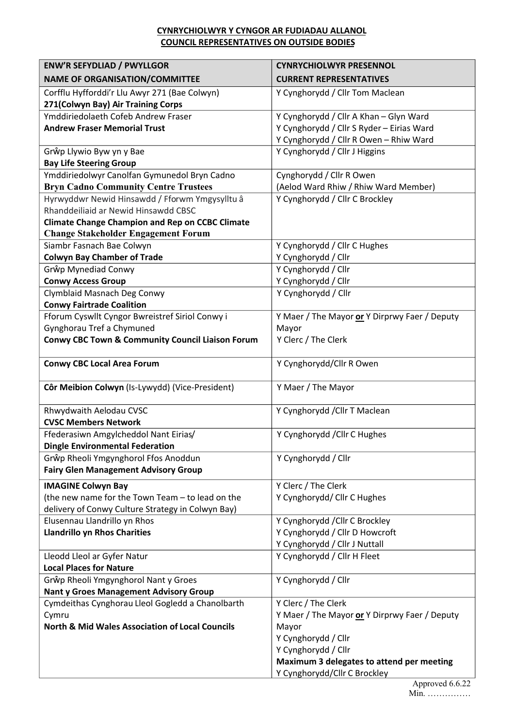### **CYNRYCHIOLWYR Y CYNGOR AR FUDIADAU ALLANOL COUNCIL REPRESENTATIVES ON OUTSIDE BODIES**

| <b>ENW'R SEFYDLIAD / PWYLLGOR</b>                           | <b>CYNRYCHIOLWYR PRESENNOL</b>                |
|-------------------------------------------------------------|-----------------------------------------------|
| <b>NAME OF ORGANISATION/COMMITTEE</b>                       | <b>CURRENT REPRESENTATIVES</b>                |
| Corfflu Hyfforddi'r Llu Awyr 271 (Bae Colwyn)               | Y Cynghorydd / Cllr Tom Maclean               |
| 271(Colwyn Bay) Air Training Corps                          |                                               |
| Ymddiriedolaeth Cofeb Andrew Fraser                         | Y Cynghorydd / Cllr A Khan - Glyn Ward        |
| <b>Andrew Fraser Memorial Trust</b>                         | Y Cynghorydd / Cllr S Ryder - Eirias Ward     |
|                                                             | Y Cynghorydd / Cllr R Owen - Rhiw Ward        |
| Grŵp Llywio Byw yn y Bae                                    | Y Cynghorydd / Cllr J Higgins                 |
| <b>Bay Life Steering Group</b>                              |                                               |
| Ymddiriedolwyr Canolfan Gymunedol Bryn Cadno                | Cynghorydd / Cllr R Owen                      |
| <b>Bryn Cadno Community Centre Trustees</b>                 | (Aelod Ward Rhiw / Rhiw Ward Member)          |
| Hyrwyddwr Newid Hinsawdd / Fforwm Ymgysylltu â              | Y Cynghorydd / Cllr C Brockley                |
| Rhanddeiliaid ar Newid Hinsawdd CBSC                        |                                               |
| <b>Climate Change Champion and Rep on CCBC Climate</b>      |                                               |
| <b>Change Stakeholder Engagement Forum</b>                  |                                               |
| Siambr Fasnach Bae Colwyn                                   | Y Cynghorydd / Cllr C Hughes                  |
| <b>Colwyn Bay Chamber of Trade</b>                          | Y Cynghorydd / Cllr                           |
| Grŵp Mynediad Conwy                                         | Y Cynghorydd / Cllr                           |
| <b>Conwy Access Group</b>                                   | Y Cynghorydd / Cllr                           |
| Clymblaid Masnach Deg Conwy                                 | Y Cynghorydd / Cllr                           |
| <b>Conwy Fairtrade Coalition</b>                            |                                               |
| Fforum Cyswllt Cyngor Bwreistref Siriol Conwy i             | Y Maer / The Mayor or Y Dirprwy Faer / Deputy |
| Gynghorau Tref a Chymuned                                   | Mayor                                         |
| <b>Conwy CBC Town &amp; Community Council Liaison Forum</b> | Y Clerc / The Clerk                           |
|                                                             |                                               |
| <b>Conwy CBC Local Area Forum</b>                           | Y Cynghorydd/Cllr R Owen                      |
| Côr Meibion Colwyn (Is-Lywydd) (Vice-President)             | Y Maer / The Mayor                            |
|                                                             |                                               |
| Rhwydwaith Aelodau CVSC                                     | Y Cynghorydd / Cllr T Maclean                 |
| <b>CVSC Members Network</b>                                 |                                               |
| Ffederasiwn Amgylcheddol Nant Eirias/                       | Y Cynghorydd / Cllr C Hughes                  |
| <b>Dingle Environmental Federation</b>                      |                                               |
| Grŵp Rheoli Ymgynghorol Ffos Anoddun                        | Y Cynghorydd / Cllr                           |
| <b>Fairy Glen Management Advisory Group</b>                 |                                               |
| <b>IMAGINE Colwyn Bay</b>                                   | Y Clerc / The Clerk                           |
| (the new name for the Town Team - to lead on the            | Y Cynghorydd/ Cllr C Hughes                   |
| delivery of Conwy Culture Strategy in Colwyn Bay)           |                                               |
| Elusennau Llandrillo yn Rhos                                | Y Cynghorydd / Cllr C Brockley                |
| <b>Llandrillo yn Rhos Charities</b>                         | Y Cynghorydd / Cllr D Howcroft                |
|                                                             | Y Cynghorydd / Cllr J Nuttall                 |
| Lleodd Lleol ar Gyfer Natur                                 | Y Cynghorydd / Cllr H Fleet                   |
| <b>Local Places for Nature</b>                              |                                               |
| Grŵp Rheoli Ymgynghorol Nant y Groes                        | Y Cynghorydd / Cllr                           |
| <b>Nant y Groes Management Advisory Group</b>               |                                               |
| Cymdeithas Cynghorau Lleol Gogledd a Chanolbarth            | Y Clerc / The Clerk                           |
| Cymru                                                       | Y Maer / The Mayor or Y Dirprwy Faer / Deputy |
| <b>North &amp; Mid Wales Association of Local Councils</b>  | Mayor                                         |
|                                                             | Y Cynghorydd / Cllr                           |
|                                                             | Y Cynghorydd / Cllr                           |
|                                                             | Maximum 3 delegates to attend per meeting     |
|                                                             | Y Cynghorydd/Cllr C Brockley                  |